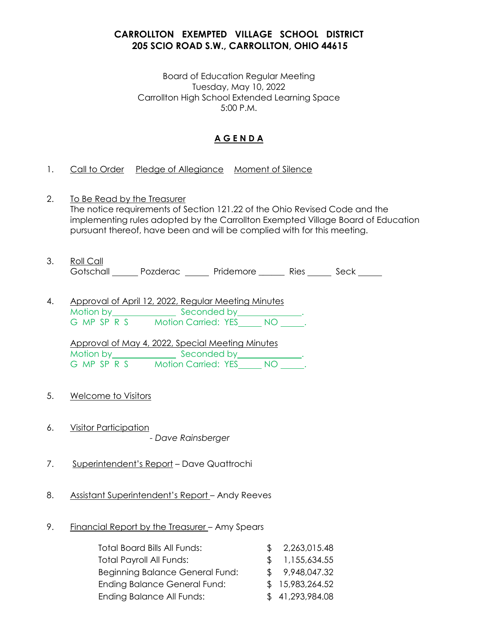# **CARROLLTON EXEMPTED VILLAGE SCHOOL DISTRICT 205 SCIO ROAD S.W., CARROLLTON, OHIO 44615**

Board of Education Regular Meeting Tuesday, May 10, 2022 Carrollton High School Extended Learning Space 5:00 P.M.

# **A G E N D A**

- 1. Call to Order Pledge of Allegiance Moment of Silence
- 2. To Be Read by the Treasurer The notice requirements of Section 121.22 of the Ohio Revised Code and the implementing rules adopted by the Carrollton Exempted Village Board of Education pursuant thereof, have been and will be complied with for this meeting.
- 3. Roll Call **Gotschall** Pozderac Pridemore Ries Seck
- 4. Approval of April 12, 2022, Regular Meeting Minutes Motion by **Example 2** Seconded by **Seconded** by G MP SP R S Motion Carried: YES NO .

Approval of May 4, 2022, Special Meeting Minutes Motion by Seconded by Beconded by American Seconded by American Seconded by American Seconded by American Seconded by American Seconded by American Seconded by American Seconded by American Seconded by American Seconded by G MP SP R S Motion Carried: YES NO \_\_\_\_\_.

- 5. Welcome to Visitors
- 6. Visitor Participation ..... *- Dave Rainsberger*
- 7. Superintendent's Report Dave Quattrochi
- 8. Assistant Superintendent's Report Andy Reeves
- 9. Financial Report by the Treasurer Amy Spears

| <b>Total Board Bills All Funds:</b>    | \$2,263,015.48  |
|----------------------------------------|-----------------|
| <b>Total Payroll All Funds:</b>        | \$1,155,634.55  |
| <b>Beginning Balance General Fund:</b> | \$9,948,047.32  |
| <b>Ending Balance General Fund:</b>    | \$15,983,264.52 |
| Ending Balance All Funds:              | \$41,293,984.08 |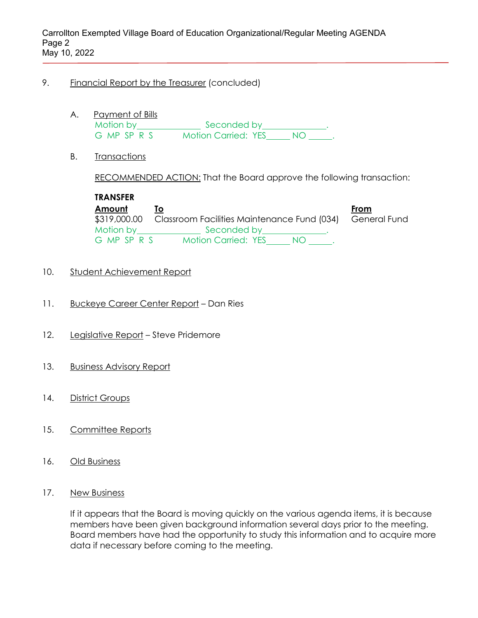#### 9. Financial Report by the Treasurer (concluded)

- A. Payment of Bills Motion by **Seconded by ELECT**. G MP SP R S Motion Carried: YES NO .
- B. Transactions

RECOMMENDED ACTION: That the Board approve the following transaction:

**TRANSFER Amount To From** \$319,000.00 Classroom Facilities Maintenance Fund (034) General Fund Motion by **Seconded by** Seconded by G MP SP R S Motion Carried: YES NO .

- 10. Student Achievement Report
- 11. Buckeye Career Center Report Dan Ries
- 12. Legislative Report Steve Pridemore
- 13. Business Advisory Report
- 14. District Groups
- 15. Committee Reports
- 16. Old Business
- 17. New Business

If it appears that the Board is moving quickly on the various agenda items, it is because members have been given background information several days prior to the meeting. Board members have had the opportunity to study this information and to acquire more data if necessary before coming to the meeting.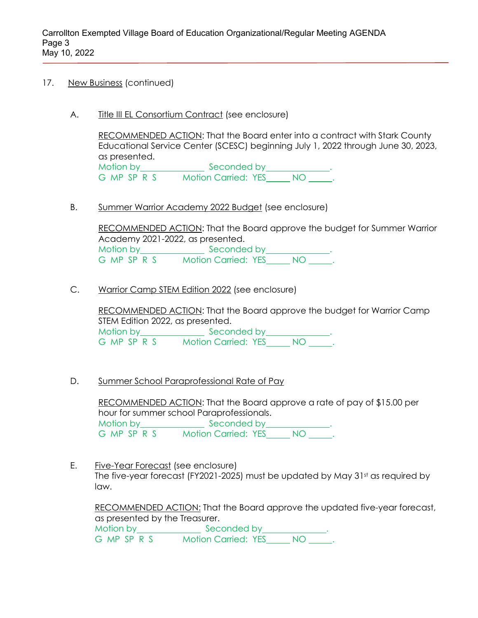- 17. New Business (continued)
	- A. Title III EL Consortium Contract (see enclosure)

RECOMMENDED ACTION: That the Board enter into a contract with Stark County Educational Service Center (SCESC) beginning July 1, 2022 through June 30, 2023, as presented. Motion by Seconded by Motion by Beconded by Anti-G MP SP R S Motion Carried: YES NO \_\_\_\_\_.

B. Summer Warrior Academy 2022 Budget (see enclosure)

RECOMMENDED ACTION: That the Board approve the budget for Summer Warrior Academy 2021-2022, as presented. Motion by Seconded by Motion by Allen Branch Seconded by Allen Branch Branch Branch Branch Branch Branch Branch Br G MP SP R S Motion Carried: YES NO .

C. Warrior Camp STEM Edition 2022 (see enclosure)

RECOMMENDED ACTION: That the Board approve the budget for Warrior Camp STEM Edition 2022, as presented. Motion by Seconded by Notion by Seconded by Notion 3 G MP SP R S Motion Carried: YES NO ........

D. Summer School Paraprofessional Rate of Pay

RECOMMENDED ACTION: That the Board approve a rate of pay of \$15.00 per hour for summer school Paraprofessionals. Motion by Seconded by Motion by Seconded by G MP SP R S Motion Carried: YES NO .

E. Five-Year Forecast (see enclosure) The five-year forecast (FY2021-2025) must be updated by May 31st as required by law.

RECOMMENDED ACTION: That the Board approve the updated five-year forecast, as presented by the Treasurer. Motion by Seconded by Motion by Beconded by Antison

G MP SP R S Motion Carried: YES NO \_\_\_\_\_.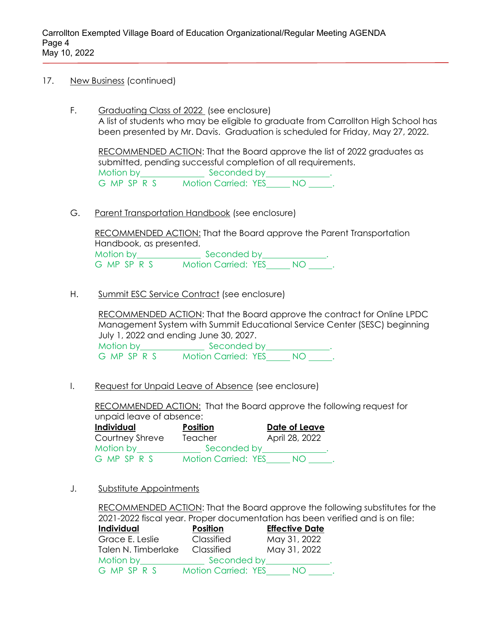- 17. New Business (continued)
	- F. Graduating Class of 2022 (see enclosure) A list of students who may be eligible to graduate from Carrollton High School has been presented by Mr. Davis. Graduation is scheduled for Friday, May 27, 2022.

RECOMMENDED ACTION: That the Board approve the list of 2022 graduates as submitted, pending successful completion of all requirements. Motion by **Seconded by Motion by** Seconded by G MP SP R S Motion Carried: YES NO .

G. Parent Transportation Handbook (see enclosure)

RECOMMENDED ACTION: That the Board approve the Parent Transportation Handbook, as presented. Motion by **Seconded by Seconded by** G MP SP R S Motion Carried: YES NO .

H. Summit ESC Service Contract (see enclosure)

RECOMMENDED ACTION: That the Board approve the contract for Online LPDC Management System with Summit Educational Service Center (SESC) beginning July 1, 2022 and ending June 30, 2027. Motion by **Seconded by Motion by** Seconded by

G MP SP R S Motion Carried: YES NO \_\_\_\_\_.

I. Request for Unpaid Leave of Absence (see enclosure)

RECOMMENDED ACTION: That the Board approve the following request for unpaid leave of absence:

| Individual      | <b>Position</b>            | Date of Leave                                                                                                  |
|-----------------|----------------------------|----------------------------------------------------------------------------------------------------------------|
| Courtney Shreve | Teacher                    | April 28, 2022                                                                                                 |
| Motion by       |                            | Seconded by the control of the second state of the second state of the second state of the second state of the |
| G MP SP R S     | <b>Motion Carried: YES</b> | NO.                                                                                                            |

J. Substitute Appointments

RECOMMENDED ACTION: That the Board approve the following substitutes for the 2021-2022 fiscal year. Proper documentation has been verified and is on file:

| Individual          | <b>Position</b>            | <b>Effective Date</b> |
|---------------------|----------------------------|-----------------------|
| Grace E. Leslie     | Classified                 | May 31, 2022          |
| Talen N. Timberlake | Classified                 | May 31, 2022          |
| Motion by           | Seconded by                |                       |
| G MP SP R S         | <b>Motion Carried: YES</b> | NO.                   |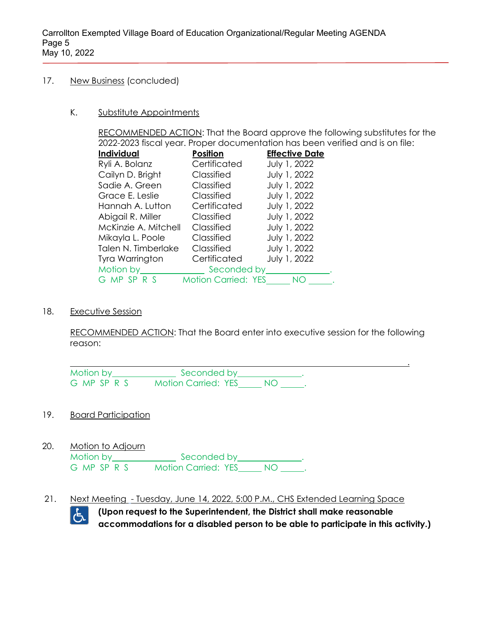#### 17. New Business (concluded)

#### K. Substitute Appointments

RECOMMENDED ACTION: That the Board approve the following substitutes for the 2022-2023 fiscal year. Proper documentation has been verified and is on file:

| <b>Individual</b>    | <b>Position</b>            | <b>Effective Date</b> |
|----------------------|----------------------------|-----------------------|
| Ryli A. Bolanz       | Certificated               | July 1, 2022          |
| Cailyn D. Bright     | Classified                 | July 1, 2022          |
| Sadie A. Green       | Classified                 | July 1, 2022          |
| Grace E. Leslie      | Classified                 | July 1, 2022          |
| Hannah A. Lutton     | Certificated               | July 1, 2022          |
| Abigail R. Miller    | Classified                 | July 1, 2022          |
| McKinzie A. Mitchell | Classified                 | July 1, 2022          |
| Mikayla L. Poole     | Classified                 | July 1, 2022          |
| Talen N. Timberlake  | Classified                 | July 1, 2022          |
| Tyra Warrington      | Certificated               | July 1, 2022          |
| Motion by            | Seconded by                |                       |
| G MP SP R S          | <b>Motion Carried: YES</b> | NO                    |

#### 18. Executive Session

RECOMMENDED ACTION: That the Board enter into executive session for the following reason:

| Motion by   | Seconded by                |  |  |
|-------------|----------------------------|--|--|
| G MP SP R S | <b>Motion Carried: YES</b> |  |  |

## 19. Board Participation

20. Motion to Adjourn

| Motion by   | Seconded by                |    |  |
|-------------|----------------------------|----|--|
| G MP SP R S | <b>Motion Carried: YES</b> | NC |  |

21. Next Meeting - Tuesday, June 14, 2022, 5:00 P.M., CHS Extended Learning Space



**(Upon request to the Superintendent, the District shall make reasonable accommodations for a disabled person to be able to participate in this activity.)**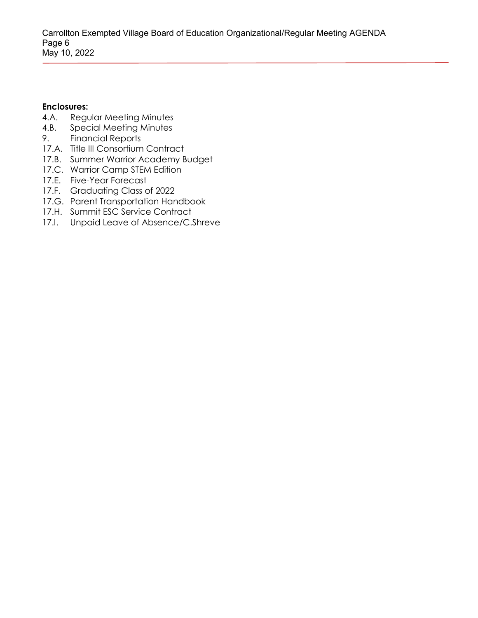### **Enclosures:**

- 4.A. Regular Meeting Minutes
- 4.B. Special Meeting Minutes
- 9. Financial Reports
- 17.A. Title III Consortium Contract
- 17.B. Summer Warrior Academy Budget
- 17.C. Warrior Camp STEM Edition
- 17.E. Five-Year Forecast
- 17.F. Graduating Class of 2022
- 17.G. Parent Transportation Handbook
- 17.H. Summit ESC Service Contract
- 17.I. Unpaid Leave of Absence/C.Shreve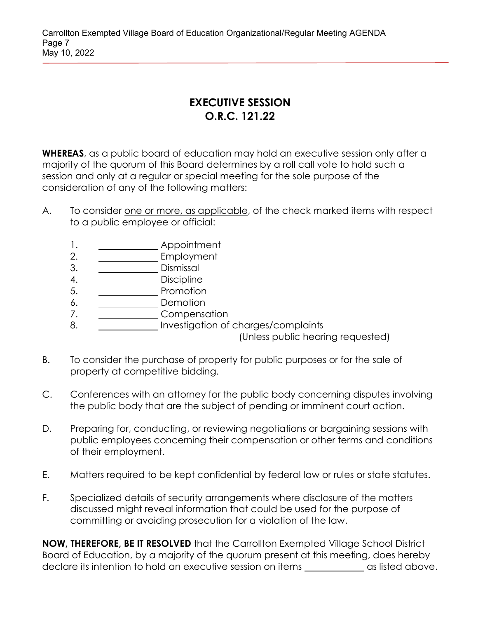Carrollton Exempted Village Board of Education Organizational/Regular Meeting AGENDA Page 7 May 10, 2022

# **EXECUTIVE SESSION O.R.C. 121.22**

**WHEREAS**, as a public board of education may hold an executive session only after a majority of the quorum of this Board determines by a roll call vote to hold such a session and only at a regular or special meeting for the sole purpose of the consideration of any of the following matters:

- A. To consider one or more, as applicable, of the check marked items with respect to a public employee or official:
	- 1. Appointment
	- 2. \_\_\_\_\_\_\_\_\_\_\_\_\_\_ Employment
	- 3. \_\_\_\_\_\_\_\_\_\_\_\_\_\_ Dismissal
	- 4. \_\_\_\_\_\_\_\_\_\_\_\_\_\_\_\_ Discipline
	- 5. Promotion
	- 6. Demotion
	- 7. Compensation
	- 8. Investigation of charges/complaints

(Unless public hearing requested)

- B. To consider the purchase of property for public purposes or for the sale of property at competitive bidding.
- C. Conferences with an attorney for the public body concerning disputes involving the public body that are the subject of pending or imminent court action.
- D. Preparing for, conducting, or reviewing negotiations or bargaining sessions with public employees concerning their compensation or other terms and conditions of their employment.
- E. Matters required to be kept confidential by federal law or rules or state statutes.
- F. Specialized details of security arrangements where disclosure of the matters discussed might reveal information that could be used for the purpose of committing or avoiding prosecution for a violation of the law.

**NOW, THEREFORE, BE IT RESOLVED** that the Carrollton Exempted Village School District Board of Education, by a majority of the quorum present at this meeting, does hereby declare its intention to hold an executive session on items and some as listed above.